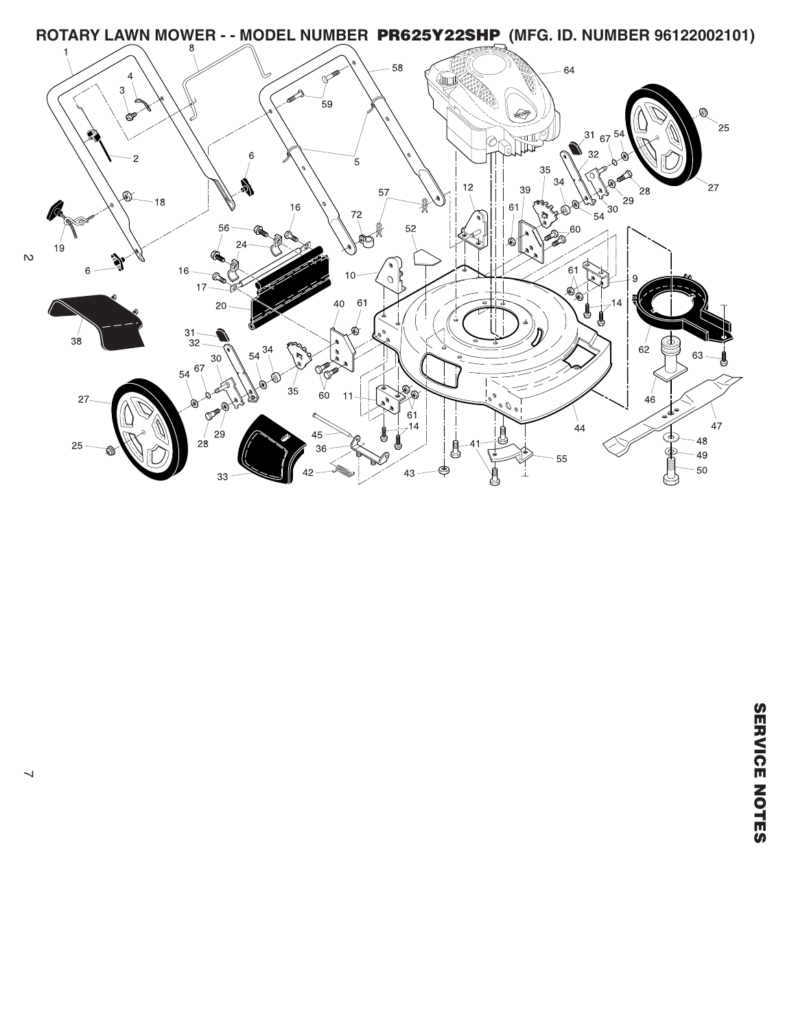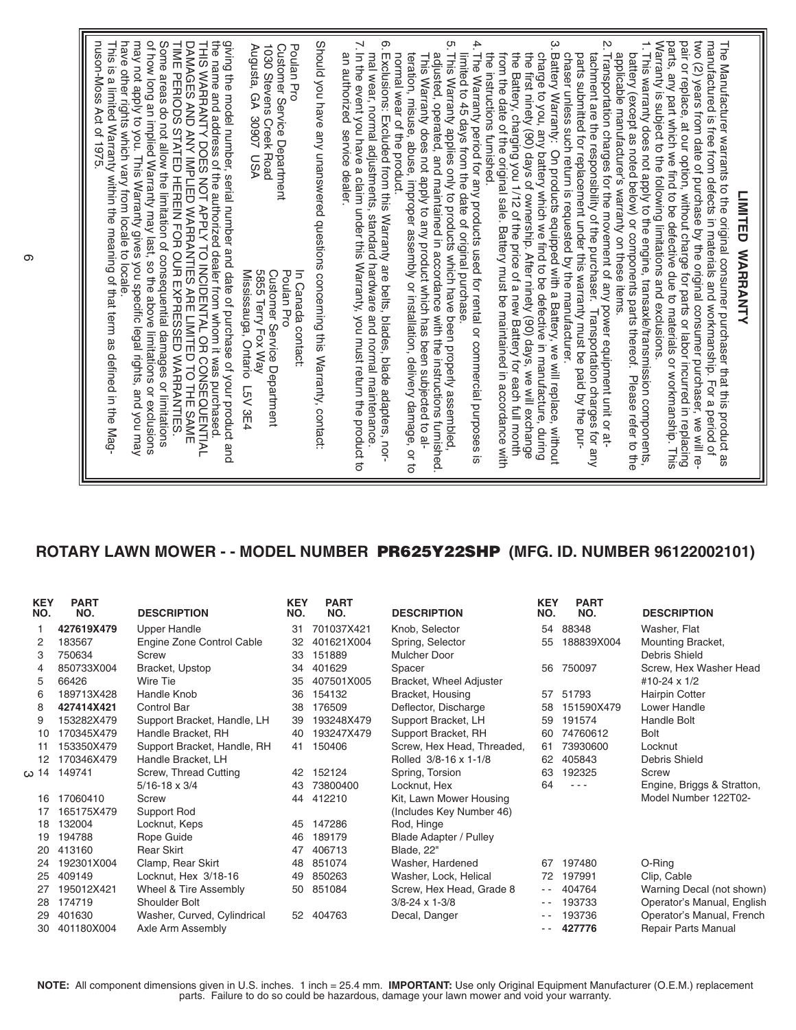## **ROTARY LAWN MOWER - - MODEL NUMBER PR625Y22SHP (MFG. ID. NUMBER 96122002101)**

| <b>KEY</b><br>NO. | <b>PART</b><br>NO. | <b>DESCRIPTION</b>          | <b>KEY</b><br>NO. | <b>PART</b><br>NO. | <b>DESCRIPTION</b>            | <b>KEY</b><br>NO. | <b>PART</b><br>NO. | <b>DESCRIPTION</b>         |
|-------------------|--------------------|-----------------------------|-------------------|--------------------|-------------------------------|-------------------|--------------------|----------------------------|
|                   | 427619X479         | <b>Upper Handle</b>         | 31                | 701037X421         | Knob, Selector                | 54                | 88348              | Washer, Flat               |
| 2                 | 183567             | Engine Zone Control Cable   | 32                | 401621X004         | Spring, Selector              | 55                | 188839X004         | Mounting Bracket,          |
| 3                 | 750634             | Screw                       | 33                | 151889             | <b>Mulcher Door</b>           |                   |                    | Debris Shield              |
| 4                 | 850733X004         | Bracket, Upstop             | 34                | 401629             | Spacer                        | 56                | 750097             | Screw, Hex Washer Head     |
| 5                 | 66426              | Wire Tie                    | 35                | 407501X005         | Bracket, Wheel Adjuster       |                   |                    | #10-24 x 1/2               |
| 6                 | 189713X428         | Handle Knob                 | 36                | 154132             | Bracket, Housing              | 57                | 51793              | <b>Hairpin Cotter</b>      |
| 8                 | 427414X421         | <b>Control Bar</b>          | 38                | 176509             | Deflector, Discharge          | 58                | 151590X479         | Lower Handle               |
| 9                 | 153282X479         | Support Bracket, Handle, LH | 39                | 193248X479         | Support Bracket, LH           | 59                | 191574             | Handle Bolt                |
| 10                | 170345X479         | Handle Bracket, RH          | 40                | 193247X479         | Support Bracket, RH           | 60                | 74760612           | <b>Bolt</b>                |
| 11                | 153350X479         | Support Bracket, Handle, RH | 41                | 150406             | Screw, Hex Head, Threaded,    | 61                | 73930600           | Locknut                    |
| 12                | 170346X479         | Handle Bracket, LH          |                   |                    | Rolled 3/8-16 x 1-1/8         | 62                | 405843             | Debris Shield              |
| ω 14              | 149741             | Screw, Thread Cutting       | 42                | 152124             | Spring, Torsion               | 63                | 192325             | Screw                      |
|                   |                    | $5/16 - 18 \times 3/4$      | 43                | 73800400           | Locknut, Hex                  | 64                | $- - -$            | Engine, Briggs & Stratton, |
| 16                | 17060410           | Screw                       | 44                | 412210             | Kit, Lawn Mower Housing       |                   |                    | Model Number 122T02-       |
| 17                | 165175X479         | Support Rod                 |                   |                    | (Includes Key Number 46)      |                   |                    |                            |
| 18                | 132004             | Locknut, Keps               | 45                | 147286             | Rod, Hinge                    |                   |                    |                            |
| 19                | 194788             | Rope Guide                  | 46                | 189179             | <b>Blade Adapter / Pulley</b> |                   |                    |                            |
| 20                | 413160             | <b>Rear Skirt</b>           | 47                | 406713             | Blade, 22"                    |                   |                    |                            |
| 24                | 192301X004         | Clamp, Rear Skirt           | 48                | 851074             | Washer, Hardened              | 67                | 197480             | O-Ring                     |
| 25                | 409149             | Locknut, Hex 3/18-16        | 49                | 850263             | Washer, Lock, Helical         | 72                | 197991             | Clip, Cable                |
| 27                | 195012X421         | Wheel & Tire Assembly       | 50                | 851084             | Screw, Hex Head, Grade 8      | $ -$              | 404764             | Warning Decal (not shown)  |
| 28                | 174719             | Shoulder Bolt               |                   |                    | $3/8 - 24 \times 1 - 3/8$     | $ -$              | 193733             | Operator's Manual, English |
| 29                | 401630             | Washer, Curved, Cylindrical | 52                | 404763             | Decal, Danger                 | $ -$              | 193736             | Operator's Manual, French  |
| 30                | 401180X004         | Axle Arm Assembly           |                   |                    |                               | - -               | 427776             | <b>Repair Parts Manual</b> |

**NOTE:** All component dimensions given in U.S. inches. 1 inch = 25.4 mm. **IMPORTANT:** Use only Original Equipment Manufacturer (O.E.M.) replacement parts. Failure to do so could be hazardous, damage your lawn mower and void your warranty.